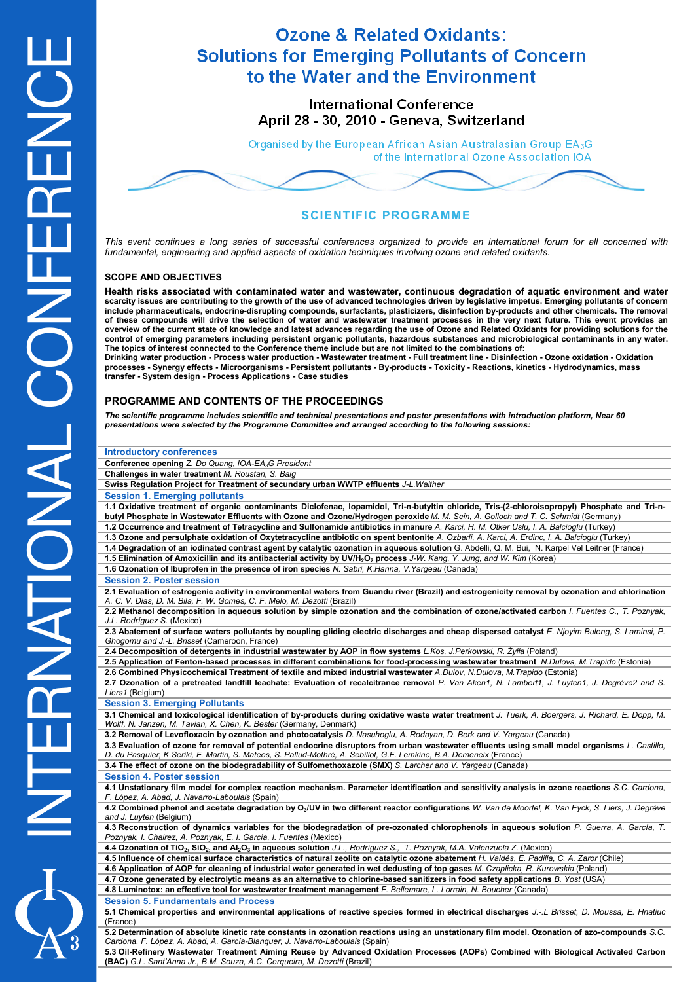# **Ozone & Related Oxidants: Solutions for Emerging Pollutants of Concern** to the Water and the Environment

**International Conference** April 28 - 30, 2010 - Geneva, Switzerland

Organised by the European African Asian Australasian Group EA3G of the International Ozone Association IOA

# **SCIENTIFIC PROGRAMME**

*This event continues a long series of successful conferences organized to provide an international forum for all concerned with fundamental, engineering and applied aspects of oxidation techniques involving ozone and related oxidants.* 

### **SCOPE AND OBJECTIVES**

**Health risks associated with contaminated water and wastewater, continuous degradation of aquatic environment and water scarcity issues are contributing to the growth of the use of advanced technologies driven by legislative impetus. Emerging pollutants of concern include pharmaceuticals, endocrine-disrupting compounds, surfactants, plasticizers, disinfection by-products and other chemicals. The removal of these compounds will drive the selection of water and wastewater treatment processes in the very next future. This event provides an overview of the current state of knowledge and latest advances regarding the use of Ozone and Related Oxidants for providing solutions for the control of emerging parameters including persistent organic pollutants, hazardous substances and microbiological contaminants in any water. The topics of interest connected to the Conference theme include but are not limited to the combinations of:** 

**Drinking water production - Process water production - Wastewater treatment - Full treatment line - Disinfection - Ozone oxidation - Oxidation processes - Synergy effects - Microorganisms - Persistent pollutants - By-products - Toxicity - Reactions, kinetics - Hydrodynamics, mass transfer - System design - Process Applications - Case studies** 

### **PROGRAMME AND CONTENTS OF THE PROCEEDINGS**

*The scientific programme includes scientific and technical presentations and poster presentations with introduction platform, Near 60 presentations were selected by the Programme Committee and arranged according to the following sessions:* 

| <b>Introductory conferences</b>                                                                                                                                                                                                                                       |  |
|-----------------------------------------------------------------------------------------------------------------------------------------------------------------------------------------------------------------------------------------------------------------------|--|
| Conference opening Z. Do Quang, IOA-EA <sub>3</sub> G President                                                                                                                                                                                                       |  |
| Challenges in water treatment M. Roustan, S. Baig                                                                                                                                                                                                                     |  |
| Swiss Regulation Project for Treatment of secundary urban WWTP effluents J-L. Walther                                                                                                                                                                                 |  |
| <b>Session 1. Emerging pollutants</b>                                                                                                                                                                                                                                 |  |
| 1.1 Oxidative treatment of organic contaminants Diclofenac, Iopamidol, Tri-n-butyltin chloride, Tris-(2-chloroisopropyl) Phosphate and Tri-n-                                                                                                                         |  |
| butyl Phosphate in Wastewater Effluents with Ozone and Ozone/Hydrogen peroxide M. M. Sein, A. Golloch and T. C. Schmidt (Germany)                                                                                                                                     |  |
| 1.2 Occurrence and treatment of Tetracycline and Sulfonamide antibiotics in manure A. Karci, H. M. Otker Uslu, I. A. Balcioglu (Turkey)                                                                                                                               |  |
| 1.3 Ozone and persulphate oxidation of Oxytetracycline antibiotic on spent bentonite A. Ozbarli, A. Karci, A. Erdinc, I. A. Balcioglu (Turkey)                                                                                                                        |  |
| 1.4 Degradation of an iodinated contrast agent by catalytic ozonation in aqueous solution G. Abdelli, Q. M. Bui, N. Karpel Vel Leitner (France)                                                                                                                       |  |
| 1.5 Elimination of Amoxicillin and its antibacterial activity by UV/H <sub>2</sub> O <sub>2</sub> process J-W. Kang, Y. Jung, and W. Kim (Korea)                                                                                                                      |  |
| 1.6 Ozonation of Ibuprofen in the presence of iron species N. Sabri, K.Hanna, V. Yargeau (Canada)                                                                                                                                                                     |  |
| <b>Session 2. Poster session</b>                                                                                                                                                                                                                                      |  |
| 2.1 Evaluation of estrogenic activity in environmental waters from Guandu river (Brazil) and estrogenicity removal by ozonation and chlorination<br>A. C. V. Dias, D. M. Bila, F. W. Gomes, C. F. Melo, M. Dezotti (Brazil)                                           |  |
| 2.2 Methanol decomposition in aqueous solution by simple ozonation and the combination of ozone/activated carbon I. Fuentes C., T. Poznyak,                                                                                                                           |  |
| J.L. Rodríguez S. (Mexico)                                                                                                                                                                                                                                            |  |
| 2.3 Abatement of surface waters pollutants by coupling gliding electric discharges and cheap dispersed catalyst E. Njoyim Buleng, S. Laminsi, P.<br>Ghogomu and J.-L. Brisset (Cameroon, France)                                                                      |  |
| 2.4 Decomposition of detergents in industrial wastewater by AOP in flow systems L.Kos, J.Perkowski, R. Żyłła (Poland)                                                                                                                                                 |  |
| 2.5 Application of Fenton-based processes in different combinations for food-processing wastewater treatment N.Dulova, M.Trapido (Estonia)                                                                                                                            |  |
| 2.6 Combined Physicochemical Treatment of textile and mixed industrial wastewater A.Dulov, N.Dulova, M.Trapido (Estonia)                                                                                                                                              |  |
| 2.7 Ozonation of a pretreated landfill leachate: Evaluation of recalcitrance removal P. Van Aken1, N. Lambert1, J. Luyten1, J. Degrève2 and S.<br>Liers1 (Belgium)                                                                                                    |  |
| <b>Session 3. Emerging Pollutants</b>                                                                                                                                                                                                                                 |  |
| 3.1 Chemical and toxicological identification of by-products during oxidative waste water treatment J. Tuerk, A. Boergers, J. Richard, E. Dopp, M.<br>Wolff, N. Janzen, M. Tavian, X. Chen, K. Bester (Germany, Denmark)                                              |  |
| 3.2 Removal of Levofloxacin by ozonation and photocatalysis D. Nasuhoglu, A. Rodayan, D. Berk and V. Yargeau (Canada)                                                                                                                                                 |  |
| 3.3 Evaluation of ozone for removal of potential endocrine disruptors from urban wastewater effluents using small model organisms L. Castillo,<br>D. du Pasquier, K.Seriki, F. Martin, S. Mateos, S. Pallud-Mothré, A. Sebillot, G.F. Lemkine, B.A. Demeneix (France) |  |
| 3.4 The effect of ozone on the biodegradability of Sulfomethoxazole (SMX) S. Larcher and V. Yargeau (Canada)                                                                                                                                                          |  |
| <b>Session 4. Poster session</b>                                                                                                                                                                                                                                      |  |
| 4.1 Unstationary film model for complex reaction mechanism. Parameter identification and sensitivity analysis in ozone reactions S.C. Cardona,<br>F. López, A. Abad, J. Navarro-Laboulais (Spain)                                                                     |  |
| 4.2 Combined phenol and acetate degradation by O <sub>3</sub> /UV in two different reactor configurations W. Van de Moortel, K. Van Eyck, S. Liers, J. Degrève<br>and J. Luyten (Belgium)                                                                             |  |
| 4.3 Reconstruction of dynamics variables for the biodegradation of pre-ozonated chlorophenols in aqueous solution P. Guerra, A. García, T.<br>Poznyak, I. Chairez, A. Poznyak, E. I. García, I. Fuentes (Mexico)                                                      |  |
| 4.4 Ozonation of TiO <sub>2</sub> , SiO <sub>2</sub> , and Al <sub>2</sub> O <sub>3</sub> in aqueous solution J.L., Rodríguez S., T. Poznyak, M.A. Valenzuela Z. (Mexico)                                                                                             |  |
| 4.5 Influence of chemical surface characteristics of natural zeolite on catalytic ozone abatement H. Valdés, E. Padilla, C. A. Zaror (Chile)                                                                                                                          |  |
| 4.6 Application of AOP for cleaning of industrial water generated in wet dedusting of top gases M. Czaplicka, R. Kurowskia (Poland)                                                                                                                                   |  |
| 4.7 Ozone generated by electrolytic means as an alternative to chlorine-based sanitizers in food safety applications B. Yost (USA)                                                                                                                                    |  |
| 4.8 Luminotox: an effective tool for wastewater treatment management F. Bellemare, L. Lorrain, N. Boucher (Canada)                                                                                                                                                    |  |
| <b>Session 5. Fundamentals and Process</b>                                                                                                                                                                                                                            |  |
| 5.1 Chemical properties and environmental applications of reactive species formed in electrical discharges J.-L Brisset, D. Moussa, E. Hnatiuc<br>(France)                                                                                                            |  |
| 5.2 Determination of absolute kinetic rate constants in ozonation reactions using an unstationary film model. Ozonation of azo-compounds S.C.<br>Cardona, F. López, A. Abad, A. García-Blanquer, J. Navarro-Laboulais (Spain)                                         |  |
| 5.3 Oil-Refinery Wastewater Treatment Aiming Reuse by Advanced Oxidation Processes (AOPs) Combined with Biological Activated Carbon<br>(BAC) G.L. Sant'Anna Jr., B.M. Souza, A.C. Cerqueira, M. Dezotti (Brazil)                                                      |  |